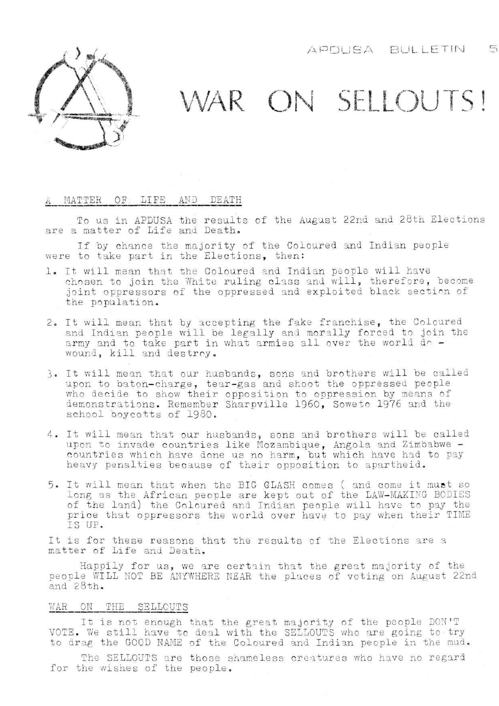$\overline{m}$ APDUSA BULLETIN



## WAR ON SELLOUTS!

## A MATTER OF. LIFE AND DEATH

To us in APDUSA the results of the August 22nd and 28th Elections are a matter of Life and Death.

If by chance the majority of the Coloured and Indian people were to take part in the Elections, then:

- 1. It will mean that the Coloured and Indian people will have chosen to join the White ruling class and will, therefore, become joint oppressors of the oppressed and exploited black section of the population.
- 2. It will mean that by accepting the fake franchise, the Coloured and Indian people will be legally and morally forced to join the army and to take part in what armies all over the world do wound, kill and destroy.
- 3. It will mean that our husbands, sons and brothers will be called upon to baton-charge, tear-gas and shoot the oppressed people who decide to show their opposition to oppression by means of demonstrations. Remember Sharpville 1960, Soweto 1976 and the school boycotts of 1980.
- 4. It will mean that our husbands, sons and brothers will be called upon to invade countries like Mozambique, Angola and Zimbabwe countries which have done us no harm, but which have had to pay heavy penalties because of their opposition to apartheid,
- 5. It will mean that when the BIG CLASH comes ( and come it must so long as the African people are kept out of the LAW-MAKING BODIES of the land) the Coloured and Indian people will have to pay the price that oppressors the world over have to pay when their TIME IS UP.

It is for these reasons that the results of the Elections are a matter of Life and Death.

Happily for us, we are certain that the great majority of the people WILL ROT BE ANYWHERE NEAR the places of voting on August 22nd and  $28th.$ 

## WAR ON THE SELLOUTS

It is not enough that the great majority of the people DON'T VOTE. We still have to deal with the SELLOUTS who are going to try to drag the GOOD NAME of the Coloured and Indian people in the mud.

The SELLOUTS are those shameless creatures who have no regard for the wishes of the people.